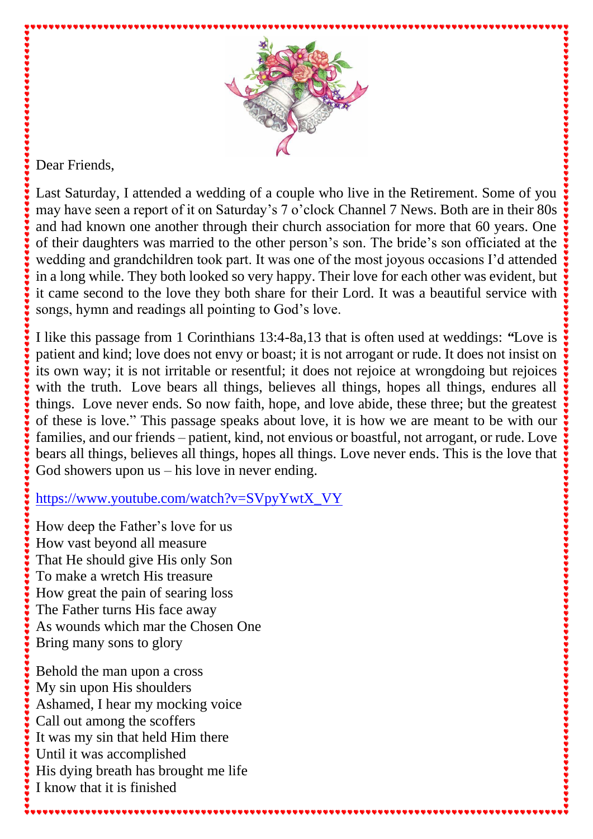

Dear Friends,

Last Saturday, I attended a wedding of a couple who live in the Retirement. Some of you may have seen a report of it on Saturday's 7 o'clock Channel 7 News. Both are in their 80s and had known one another through their church association for more that 60 years. One of their daughters was married to the other person's son. The bride's son officiated at the wedding and grandchildren took part. It was one of the most joyous occasions I'd attended in a long while. They both looked so very happy. Their love for each other was evident, but it came second to the love they both share for their Lord. It was a beautiful service with songs, hymn and readings all pointing to God's love.

I like this passage from 1 Corinthians 13:4-8a,13 that is often used at weddings: *"*Love is patient and kind; love does not envy or boast; it is not arrogant or rude. It does not insist on its own way; it is not irritable or resentful; it does not rejoice at wrongdoing but rejoices with the truth. Love bears all things, believes all things, hopes all things, endures all things. Love never ends. So now faith, hope, and love abide, these three; but the greatest of these is love." This passage speaks about love, it is how we are meant to be with our families, and our friends – patient, kind, not envious or boastful, not arrogant, or rude. Love bears all things, believes all things, hopes all things. Love never ends. This is the love that God showers upon  $us - his$  love in never ending.

[https://www.youtube.com/watch?v=SVpyYwtX\\_VY](https://www.youtube.com/watch?v=SVpyYwtX_VY)

How deep the Father's love for us How vast beyond all measure That He should give His only Son To make a wretch His treasure How great the pain of searing loss The Father turns His face away As wounds which mar the Chosen One Bring many sons to glory

Behold the man upon a cross My sin upon His shoulders Ashamed, I hear my mocking voice Call out among the scoffers It was my sin that held Him there Until it was accomplished His dying breath has brought me life I know that it is finished